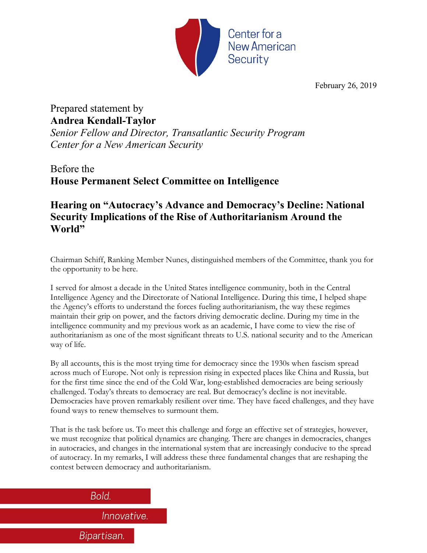

February 26, 2019

## Prepared statement by **Andrea Kendall-Taylor**

*Senior Fellow and Director, Transatlantic Security Program Center for a New American Security*

# Before the **House Permanent Select Committee on Intelligence**

## **Hearing on "Autocracy's Advance and Democracy's Decline: National Security Implications of the Rise of Authoritarianism Around the World"**

Chairman Schiff, Ranking Member Nunes, distinguished members of the Committee, thank you for the opportunity to be here.

I served for almost a decade in the United States intelligence community, both in the Central Intelligence Agency and the Directorate of National Intelligence. During this time, I helped shape the Agency's efforts to understand the forces fueling authoritarianism, the way these regimes maintain their grip on power, and the factors driving democratic decline. During my time in the intelligence community and my previous work as an academic, I have come to view the rise of authoritarianism as one of the most significant threats to U.S. national security and to the American way of life.

By all accounts, this is the most trying time for democracy since the 1930s when fascism spread across much of Europe. Not only is repression rising in expected places like China and Russia, but for the first time since the end of the Cold War, long-established democracies are being seriously challenged. Today's threats to democracy are real. But democracy's decline is not inevitable. Democracies have proven remarkably resilient over time. They have faced challenges, and they have found ways to renew themselves to surmount them.

That is the task before us. To meet this challenge and forge an effective set of strategies, however, we must recognize that political dynamics are changing. There are changes in democracies, changes in autocracies, and changes in the international system that are increasingly conducive to the spread of autocracy. In my remarks, I will address these three fundamental changes that are reshaping the contest between democracy and authoritarianism.

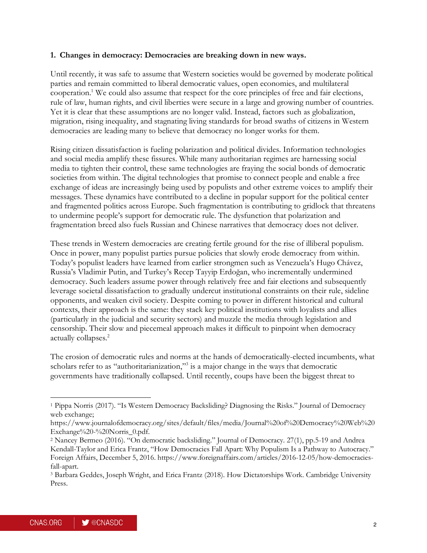#### **1. Changes in democracy: Democracies are breaking down in new ways.**

Until recently, it was safe to assume that Western societies would be governed by moderate political parties and remain committed to liberal democratic values, open economies, and multilateral cooperation.1 We could also assume that respect for the core principles of free and fair elections, rule of law, human rights, and civil liberties were secure in a large and growing number of countries. Yet it is clear that these assumptions are no longer valid. Instead, factors such as globalization, migration, rising inequality, and stagnating living standards for broad swaths of citizens in Western democracies are leading many to believe that democracy no longer works for them.

Rising citizen dissatisfaction is fueling polarization and political divides. Information technologies and social media amplify these fissures. While many authoritarian regimes are harnessing social media to tighten their control, these same technologies are fraying the social bonds of democratic societies from within. The digital technologies that promise to connect people and enable a free exchange of ideas are increasingly being used by populists and other extreme voices to amplify their messages. These dynamics have contributed to a decline in popular support for the political center and fragmented politics across Europe. Such fragmentation is contributing to gridlock that threatens to undermine people's support for democratic rule. The dysfunction that polarization and fragmentation breed also fuels Russian and Chinese narratives that democracy does not deliver.

These trends in Western democracies are creating fertile ground for the rise of illiberal populism. Once in power, many populist parties pursue policies that slowly erode democracy from within. Today's populist leaders have learned from earlier strongmen such as Venezuela's Hugo Chávez, Russia's Vladimir Putin, and Turkey's Recep Tayyip Erdoğan, who incrementally undermined democracy. Such leaders assume power through relatively free and fair elections and subsequently leverage societal dissatisfaction to gradually undercut institutional constraints on their rule, sideline opponents, and weaken civil society. Despite coming to power in different historical and cultural contexts, their approach is the same: they stack key political institutions with loyalists and allies (particularly in the judicial and security sectors) and muzzle the media through legislation and censorship. Their slow and piecemeal approach makes it difficult to pinpoint when democracy actually collapses.2

The erosion of democratic rules and norms at the hands of democratically-elected incumbents, what scholars refer to as "authoritarianization,"<sup>3</sup> is a major change in the ways that democratic governments have traditionally collapsed. Until recently, coups have been the biggest threat to

<sup>1</sup> Pippa Norris (2017). "Is Western Democracy Backsliding? Diagnosing the Risks." Journal of Democracy web exchange;

https://www.journalofdemocracy.org/sites/default/files/media/Journal%20of%20Democracy%20Web%20 Exchange%20-%20Norris\_0.pdf.

<sup>2</sup> Nancey Bermeo (2016). "On democratic backsliding." Journal of Democracy. 27(1), pp.5-19 and Andrea Kendall-Taylor and Erica Frantz, "How Democracies Fall Apart: Why Populism Is a Pathway to Autocracy." Foreign Affairs, December 5, 2016. https://www.foreignaffairs.com/articles/2016-12-05/how-democraciesfall-apart.

<sup>3</sup> Barbara Geddes, Joseph Wright, and Erica Frantz (2018). How Dictatorships Work. Cambridge University Press.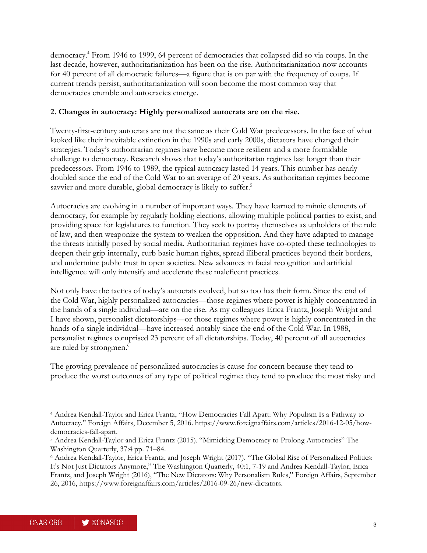democracy.4 From 1946 to 1999, 64 percent of democracies that collapsed did so via coups. In the last decade, however, authoritarianization has been on the rise. Authoritarianization now accounts for 40 percent of all democratic failures—a figure that is on par with the frequency of coups. If current trends persist, authoritarianization will soon become the most common way that democracies crumble and autocracies emerge.

### **2. Changes in autocracy: Highly personalized autocrats are on the rise.**

Twenty-first-century autocrats are not the same as their Cold War predecessors. In the face of what looked like their inevitable extinction in the 1990s and early 2000s, dictators have changed their strategies. Today's authoritarian regimes have become more resilient and a more formidable challenge to democracy. Research shows that today's authoritarian regimes last longer than their predecessors. From 1946 to 1989, the typical autocracy lasted 14 years. This number has nearly doubled since the end of the Cold War to an average of 20 years. As authoritarian regimes become savvier and more durable, global democracy is likely to suffer.<sup>5</sup>

Autocracies are evolving in a number of important ways. They have learned to mimic elements of democracy, for example by regularly holding elections, allowing multiple political parties to exist, and providing space for legislatures to function. They seek to portray themselves as upholders of the rule of law, and then weaponize the system to weaken the opposition. And they have adapted to manage the threats initially posed by social media. Authoritarian regimes have co-opted these technologies to deepen their grip internally, curb basic human rights, spread illiberal practices beyond their borders, and undermine public trust in open societies. New advances in facial recognition and artificial intelligence will only intensify and accelerate these maleficent practices.

Not only have the tactics of today's autocrats evolved, but so too has their form. Since the end of the Cold War, highly personalized autocracies—those regimes where power is highly concentrated in the hands of a single individual—are on the rise. As my colleagues Erica Frantz, Joseph Wright and I have shown, personalist dictatorships—or those regimes where power is highly concentrated in the hands of a single individual—have increased notably since the end of the Cold War. In 1988, personalist regimes comprised 23 percent of all dictatorships. Today, 40 percent of all autocracies are ruled by strongmen.<sup>6</sup>

The growing prevalence of personalized autocracies is cause for concern because they tend to produce the worst outcomes of any type of political regime: they tend to produce the most risky and

<sup>4</sup> Andrea Kendall-Taylor and Erica Frantz, "How Democracies Fall Apart: Why Populism Is a Pathway to Autocracy." Foreign Affairs, December 5, 2016. https://www.foreignaffairs.com/articles/2016-12-05/howdemocracies-fall-apart.

<sup>5</sup> Andrea Kendall-Taylor and Erica Frantz (2015). "Mimicking Democracy to Prolong Autocracies" The Washington Quarterly, 37:4 pp. 71–84.

<sup>6</sup> Andrea Kendall-Taylor, Erica Frantz, and Joseph Wright (2017). "The Global Rise of Personalized Politics: It's Not Just Dictators Anymore," The Washington Quarterly, 40:1, 7-19 and Andrea Kendall-Taylor, Erica Frantz, and Joseph Wright (2016), "The New Dictators: Why Personalism Rules," Foreign Affairs, September 26, 2016, https://www.foreignaffairs.com/articles/2016-09-26/new-dictators.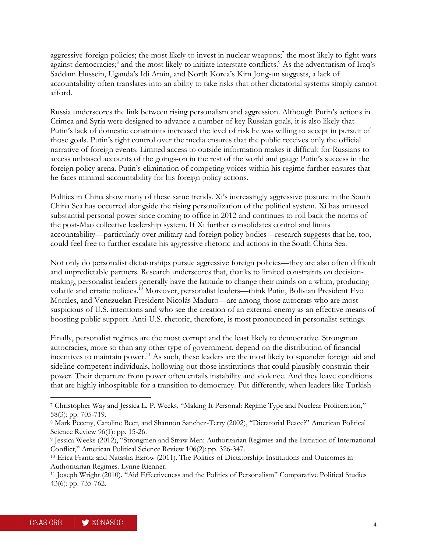aggressive foreign policies; the most likely to invest in nuclear weapons;<sup>7</sup> the most likely to fight wars against democracies;<sup>8</sup> and the most likely to initiate interstate conflicts.<sup>9</sup> As the adventurism of Iraq's Saddam Hussein, Uganda's Idi Amin, and North Korea's Kim Jong-un suggests, a lack of accountability often translates into an ability to take risks that other dictatorial systems simply cannot afford.

Russia underscores the link between rising personalism and aggression. Although Putin's actions in Crimea and Syria were designed to advance a number of key Russian goals, it is also likely that Putin's lack of domestic constraints increased the level of risk he was willing to accept in pursuit of those goals. Putin's tight control over the media ensures that the public receives only the official narrative of foreign events. Limited access to outside information makes it difficult for Russians to access unbiased accounts of the goings-on in the rest of the world and gauge Putin's success in the foreign policy arena. Putin's elimination of competing voices within his regime further ensures that he faces minimal accountability for his foreign policy actions.

Politics in China show many of these same trends. Xi's increasingly aggressive posture in the South China Sea has occurred alongside the rising personalization of the political system. Xi has amassed substantial personal power since coming to office in 2012 and continues to roll back the norms of the post-Mao collective leadership system. If Xi further consolidates control and limits accountability—particularly over military and foreign policy bodies—research suggests that he, too, could feel free to further escalate his aggressive rhetoric and actions in the South China Sea.

Not only do personalist dictatorships pursue aggressive foreign policies—they are also often difficult and unpredictable partners. Research underscores that, thanks to limited constraints on decisionmaking, personalist leaders generally have the latitude to change their minds on a whim, producing volatile and erratic policies.10 Moreover, personalist leaders—think Putin, Bolivian President Evo Morales, and Venezuelan President Nicolás Maduro—are among those autocrats who are most suspicious of U.S. intentions and who see the creation of an external enemy as an effective means of boosting public support. Anti-U.S. rhetoric, therefore, is most pronounced in personalist settings.

Finally, personalist regimes are the most corrupt and the least likely to democratize. Strongman autocracies, more so than any other type of government, depend on the distribution of financial incentives to maintain power.<sup>11</sup> As such, these leaders are the most likely to squander foreign aid and sideline competent individuals, hollowing out those institutions that could plausibly constrain their power. Their departure from power often entails instability and violence. And they leave conditions that are highly inhospitable for a transition to democracy. Put differently, when leaders like Turkish

<sup>7</sup> Christopher Way and Jessica L. P. Weeks, "Making It Personal: Regime Type and Nuclear Proliferation," 58(3): pp. 705-719.

<sup>8</sup> Mark Peceny, Caroline Beer, and Shannon Sanchez-Terry (2002), "Dictatorial Peace?" American Political Science Review 96(1): pp. 15-26.

<sup>9</sup> Jessica Weeks (2012), "Strongmen and Straw Men: Authoritarian Regimes and the Initiation of International Conflict," American Political Science Review 106(2): pp. 326-347.

<sup>10</sup> Erica Frantz and Natasha Ezrow (2011). The Politics of Dictatorship: Institutions and Outcomes in Authoritarian Regimes. Lynne Rienner.

<sup>11</sup> Joseph Wright (2010). "Aid Effectiveness and the Politics of Personalism" Comparative Political Studies 43(6): pp. 735-762.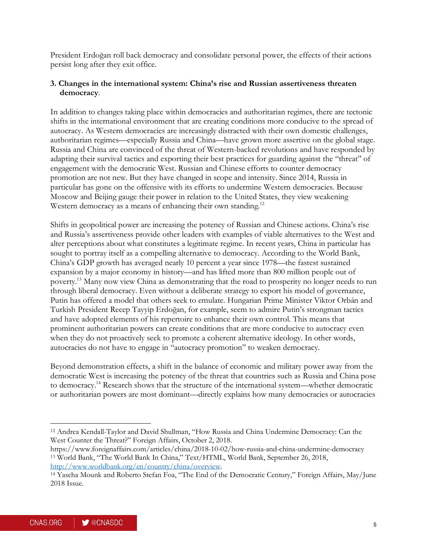President Erdoğan roll back democracy and consolidate personal power, the effects of their actions persist long after they exit office.

#### **3. Changes in the international system: China's rise and Russian assertiveness threaten democracy**.

In addition to changes taking place within democracies and authoritarian regimes, there are tectonic shifts in the international environment that are creating conditions more conducive to the spread of autocracy. As Western democracies are increasingly distracted with their own domestic challenges, authoritarian regimes—especially Russia and China—have grown more assertive on the global stage. Russia and China are convinced of the threat of Western-backed revolutions and have responded by adapting their survival tactics and exporting their best practices for guarding against the "threat" of engagement with the democratic West. Russian and Chinese efforts to counter democracy promotion are not new. But they have changed in scope and intensity. Since 2014, Russia in particular has gone on the offensive with its efforts to undermine Western democracies. Because Moscow and Beijing gauge their power in relation to the United States, they view weakening Western democracy as a means of enhancing their own standing.<sup>12</sup>

Shifts in geopolitical power are increasing the potency of Russian and Chinese actions. China's rise and Russia's assertiveness provide other leaders with examples of viable alternatives to the West and alter perceptions about what constitutes a legitimate regime. In recent years, China in particular has sought to portray itself as a compelling alternative to democracy. According to the World Bank, China's GDP growth has averaged nearly 10 percent a year since 1978—the fastest sustained expansion by a major economy in history—and has lifted more than 800 million people out of poverty.13 Many now view China as demonstrating that the road to prosperity no longer needs to run through liberal democracy. Even without a deliberate strategy to export his model of governance, Putin has offered a model that others seek to emulate. Hungarian Prime Minister Viktor Orbán and Turkish President Recep Tayyip Erdoğan, for example, seem to admire Putin's strongman tactics and have adopted elements of his repertoire to enhance their own control. This means that prominent authoritarian powers can create conditions that are more conducive to autocracy even when they do not proactively seek to promote a coherent alternative ideology. In other words, autocracies do not have to engage in "autocracy promotion" to weaken democracy.

Beyond demonstration effects, a shift in the balance of economic and military power away from the democratic West is increasing the potency of the threat that countries such as Russia and China pose to democracy.14 Research shows that the structure of the international system—whether democratic or authoritarian powers are most dominant—directly explains how many democracies or autocracies

<sup>12</sup> Andrea Kendall-Taylor and David Shullman, "How Russia and China Undermine Democracy: Can the West Counter the Threat?" Foreign Affairs, October 2, 2018.

https://www.foreignaffairs.com/articles/china/2018-10-02/how-russia-and-china-undermine-democracy <sup>13</sup> World Bank, "The World Bank In China," Text/HTML, World Bank, September 26, 2018, http://www.worldbank.org/en/country/china/overview.

<sup>14</sup> Yascha Mounk and Roberto Stefan Foa, "The End of the Democratic Century," Foreign Affairs, May/June 2018 Issue.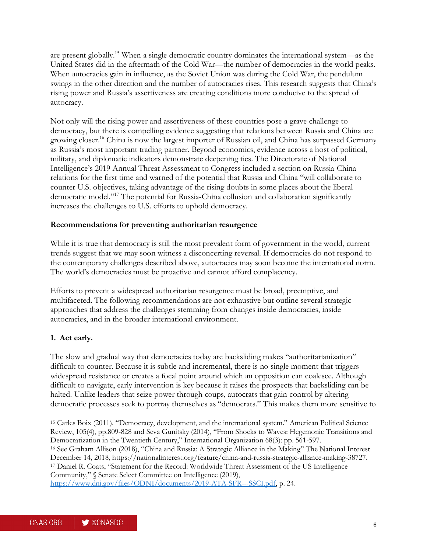are present globally.15 When a single democratic country dominates the international system—as the United States did in the aftermath of the Cold War—the number of democracies in the world peaks. When autocracies gain in influence, as the Soviet Union was during the Cold War, the pendulum swings in the other direction and the number of autocracies rises. This research suggests that China's rising power and Russia's assertiveness are creating conditions more conducive to the spread of autocracy.

Not only will the rising power and assertiveness of these countries pose a grave challenge to democracy, but there is compelling evidence suggesting that relations between Russia and China are growing closer.16 China is now the largest importer of Russian oil, and China has surpassed Germany as Russia's most important trading partner. Beyond economics, evidence across a host of political, military, and diplomatic indicators demonstrate deepening ties. The Directorate of National Intelligence's 2019 Annual Threat Assessment to Congress included a section on Russia-China relations for the first time and warned of the potential that Russia and China "will collaborate to counter U.S. objectives, taking advantage of the rising doubts in some places about the liberal democratic model."17 The potential for Russia-China collusion and collaboration significantly increases the challenges to U.S. efforts to uphold democracy.

#### **Recommendations for preventing authoritarian resurgence**

While it is true that democracy is still the most prevalent form of government in the world, current trends suggest that we may soon witness a disconcerting reversal. If democracies do not respond to the contemporary challenges described above, autocracies may soon become the international norm. The world's democracies must be proactive and cannot afford complacency.

Efforts to prevent a widespread authoritarian resurgence must be broad, preemptive, and multifaceted. The following recommendations are not exhaustive but outline several strategic approaches that address the challenges stemming from changes inside democracies, inside autocracies, and in the broader international environment.

### **1. Act early.**

 $\overline{a}$ 

The slow and gradual way that democracies today are backsliding makes "authoritarianization" difficult to counter. Because it is subtle and incremental, there is no single moment that triggers widespread resistance or creates a focal point around which an opposition can coalesce. Although difficult to navigate, early intervention is key because it raises the prospects that backsliding can be halted. Unlike leaders that seize power through coups, autocrats that gain control by altering democratic processes seek to portray themselves as "democrats." This makes them more sensitive to

<sup>15</sup> Carles Boix (2011). "Democracy, development, and the international system." American Political Science Review, 105(4), pp.809-828 and Seva Gunitsky (2014), "From Shocks to Waves: Hegemonic Transitions and Democratization in the Twentieth Century," International Organization 68(3): pp. 561-597. <sup>16</sup> See Graham Allison (2018), "China and Russia: A Strategic Alliance in the Making" The National Interest

December 14, 2018, https://nationalinterest.org/feature/china-and-russia-strategic-alliance-making-38727. <sup>17</sup> Daniel R. Coats, "Statement for the Record: Worldwide Threat Assessment of the US Intelligence Community," § Senate Select Committee on Intelligence (2019),

https://www.dni.gov/files/ODNI/documents/2019-ATA-SFR---SSCI.pdf, p. 24.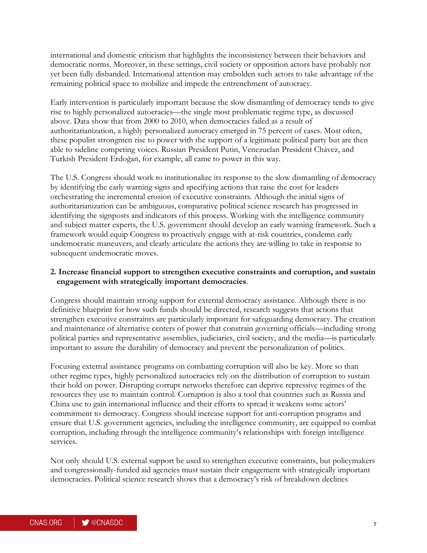international and domestic criticism that highlights the inconsistency between their behaviors and democratic norms. Moreover, in these settings, civil society or opposition actors have probably not yet been fully disbanded. International attention may embolden such actors to take advantage of the remaining political space to mobilize and impede the entrenchment of autocracy.

Early intervention is particularly important because the slow dismantling of democracy tends to give rise to highly personalized autocracies—the single most problematic regime type, as discussed above. Data show that from 2000 to 2010, when democracies failed as a result of authoritarianization, a highly personalized autocracy emerged in 75 percent of cases. Most often, these populist strongmen rise to power with the support of a legitimate political party but are then able to sideline competing voices. Russian President Putin, Venezuelan President Chávez, and Turkish President Erdoğan, for example, all came to power in this way.

The U.S. Congress should work to institutionalize its response to the slow dismantling of democracy by identifying the early warning signs and specifying actions that raise the cost for leaders orchestrating the incremental erosion of executive constraints. Although the initial signs of authoritarianization can be ambiguous, comparative political science research has progressed in identifying the signposts and indicators of this process. Working with the intelligence community and subject matter experts, the U.S. government should develop an early warning framework. Such a framework would equip Congress to proactively engage with at-risk countries, condemn early undemocratic maneuvers, and clearly articulate the actions they are willing to take in response to subsequent undemocratic moves.

#### **2. Increase financial support to strengthen executive constraints and corruption, and sustain engagement with strategically important democracies**.

Congress should maintain strong support for external democracy assistance. Although there is no definitive blueprint for how such funds should be directed, research suggests that actions that strengthen executive constraints are particularly important for safeguarding democracy. The creation and maintenance of alternative centers of power that constrain governing officials—including strong political parties and representative assemblies, judiciaries, civil society, and the media—is particularly important to assure the durability of democracy and prevent the personalization of politics.

Focusing external assistance programs on combatting corruption will also be key. More so than other regime types, highly personalized autocracies rely on the distribution of corruption to sustain their hold on power. Disrupting corrupt networks therefore can deprive repressive regimes of the resources they use to maintain control. Corruption is also a tool that countries such as Russia and China use to gain international influence and their efforts to spread it weakens some actors' commitment to democracy. Congress should increase support for anti-corruption programs and ensure that U.S. government agencies, including the intelligence community, are equipped to combat corruption, including through the intelligence community's relationships with foreign intelligence services.

Not only should U.S. external support be used to strengthen executive constraints, but policymakers and congressionally-funded aid agencies must sustain their engagement with strategically important democracies. Political science research shows that a democracy's risk of breakdown declines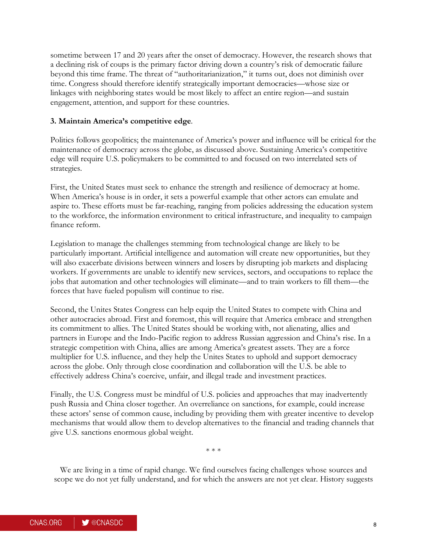sometime between 17 and 20 years after the onset of democracy. However, the research shows that a declining risk of coups is the primary factor driving down a country's risk of democratic failure beyond this time frame. The threat of "authoritarianization," it turns out, does not diminish over time. Congress should therefore identify strategically important democracies—whose size or linkages with neighboring states would be most likely to affect an entire region—and sustain engagement, attention, and support for these countries.

#### **3. Maintain America's competitive edge**.

Politics follows geopolitics; the maintenance of America's power and influence will be critical for the maintenance of democracy across the globe, as discussed above. Sustaining America's competitive edge will require U.S. policymakers to be committed to and focused on two interrelated sets of strategies.

First, the United States must seek to enhance the strength and resilience of democracy at home. When America's house is in order, it sets a powerful example that other actors can emulate and aspire to. These efforts must be far-reaching, ranging from policies addressing the education system to the workforce, the information environment to critical infrastructure, and inequality to campaign finance reform.

Legislation to manage the challenges stemming from technological change are likely to be particularly important. Artificial intelligence and automation will create new opportunities, but they will also exacerbate divisions between winners and losers by disrupting job markets and displacing workers. If governments are unable to identify new services, sectors, and occupations to replace the jobs that automation and other technologies will eliminate—and to train workers to fill them—the forces that have fueled populism will continue to rise.

Second, the Unites States Congress can help equip the United States to compete with China and other autocracies abroad. First and foremost, this will require that America embrace and strengthen its commitment to allies. The United States should be working with, not alienating, allies and partners in Europe and the Indo-Pacific region to address Russian aggression and China's rise. In a strategic competition with China, allies are among America's greatest assets. They are a force multiplier for U.S. influence, and they help the Unites States to uphold and support democracy across the globe. Only through close coordination and collaboration will the U.S. be able to effectively address China's coercive, unfair, and illegal trade and investment practices.

Finally, the U.S. Congress must be mindful of U.S. policies and approaches that may inadvertently push Russia and China closer together. An overreliance on sanctions, for example, could increase these actors' sense of common cause, including by providing them with greater incentive to develop mechanisms that would allow them to develop alternatives to the financial and trading channels that give U.S. sanctions enormous global weight.

\* \* \*

We are living in a time of rapid change. We find ourselves facing challenges whose sources and scope we do not yet fully understand, and for which the answers are not yet clear. History suggests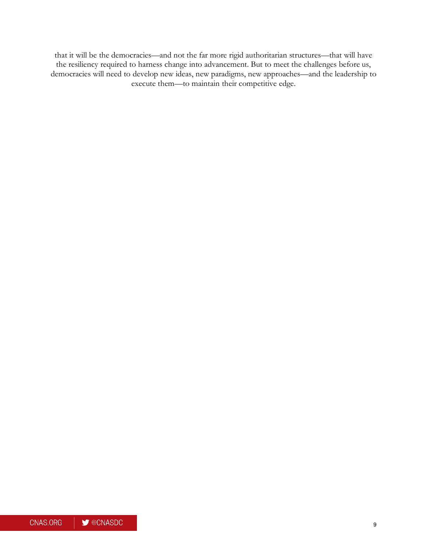that it will be the democracies—and not the far more rigid authoritarian structures—that will have the resiliency required to harness change into advancement. But to meet the challenges before us, democracies will need to develop new ideas, new paradigms, new approaches—and the leadership to execute them—to maintain their competitive edge.